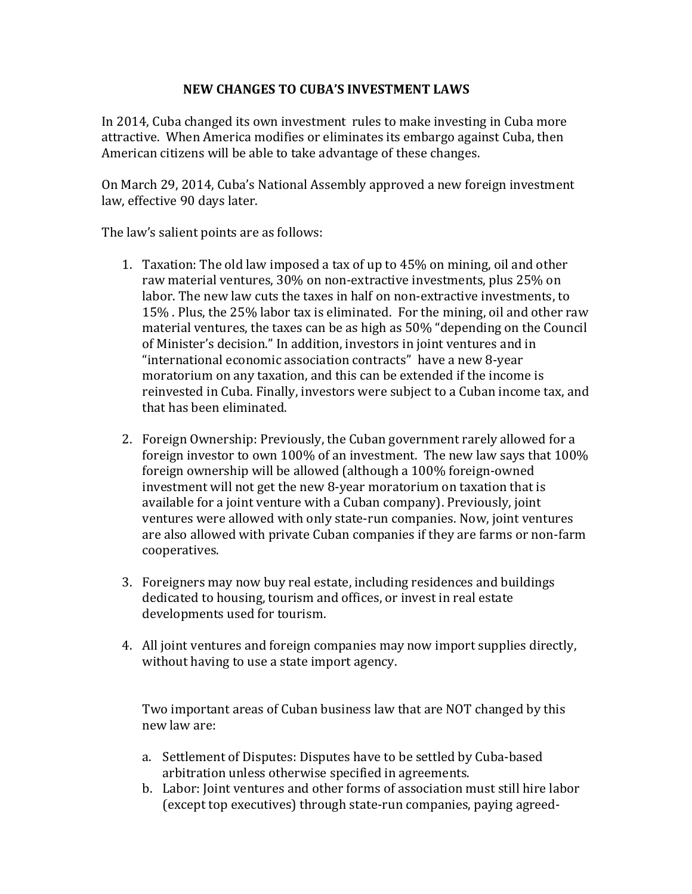## **NEW CHANGES TO CUBA'S INVESTMENT LAWS**

In 2014, Cuba changed its own investment rules to make investing in Cuba more attractive. When America modifies or eliminates its embargo against Cuba, then American citizens will be able to take advantage of these changes.

On March 29, 2014, Cuba's National Assembly approved a new foreign investment law, effective 90 days later.

The law's salient points are as follows:

- 1. Taxation: The old law imposed a tax of up to 45% on mining, oil and other raw material ventures, 30% on non-extractive investments, plus 25% on labor. The new law cuts the taxes in half on non-extractive investments, to 15% . Plus, the 25% labor tax is eliminated. For the mining, oil and other raw material ventures, the taxes can be as high as 50% "depending on the Council of Minister's decision." In addition, investors in joint ventures and in "international economic association contracts" have a new 8-year moratorium on any taxation, and this can be extended if the income is reinvested in Cuba. Finally, investors were subject to a Cuban income tax, and that has been eliminated.
- 2. Foreign Ownership: Previously, the Cuban government rarely allowed for a foreign investor to own 100% of an investment. The new law says that 100% foreign ownership will be allowed (although a 100% foreign-owned investment will not get the new 8-year moratorium on taxation that is available for a joint venture with a Cuban company). Previously, joint ventures were allowed with only state-run companies. Now, joint ventures are also allowed with private Cuban companies if they are farms or non-farm cooperatives.
- 3. Foreigners may now buy real estate, including residences and buildings dedicated to housing, tourism and offices, or invest in real estate developments used for tourism.
- 4. All joint ventures and foreign companies may now import supplies directly, without having to use a state import agency.

Two important areas of Cuban business law that are NOT changed by this new law are:

- a. Settlement of Disputes: Disputes have to be settled by Cuba-based arbitration unless otherwise specified in agreements.
- b. Labor: Joint ventures and other forms of association must still hire labor (except top executives) through state-run companies, paying agreed-